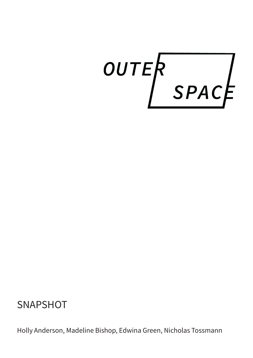OUTER<br>SPACE

# **SNAPSHOT**

Holly Anderson, Madeline Bishop, Edwina Green, Nicholas Tossmann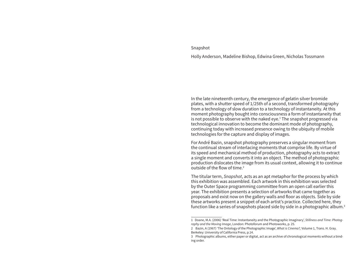#### Snapshot

Holly Anderson, Madeline Bishop, Edwina Green, Nicholas Tossmann

In the late nineteenth century, the emergence of gelatin silver bromide plates, with a shutter speed of 1/25th of a second, transformed photography from a technology of slow duration to a technology of instantaneity. At this moment photography bought into consciousness a form of instantaneity that is not possible to observe with the naked eye.<sup>1</sup> The snapshot progressed via technological innovation to become the dominant mode of photography, continuing today with increased presence owing to the ubiquity of mobile technologies for the capture and display of images.

For André Bazin, snapshot photography preserves a singular moment from the continual stream of interlacing moments that comprise life. By virtue of its speed and mechanical method of production, photography acts to extract a single moment and converts it into an object. The method of photographic production dislocates the image from its usual context, allowing it to continue outside of the flow of time.2

The titular term, *Snapshot*, acts as an apt metaphor for the process by which this exhibition was assembled. Each artwork in this exhibition was selected by the Outer Space programming committee from an open call earlier this year. The exhibition presents a selection of artworks that came together as proposals and exist now on the gallery walls and floor as objects. Side by side these artworks present a snippet of each artist's practice. Collected here, they function like a series of snapshots placed side by side in a photographic album.<sup>3</sup>

<sup>1</sup> Doane, M.A. (2006) 'Real Time: Instantaneity and the Photographic Imaginary', *Stillness and Time: Photography and the Moving Image*, London: Photoforum and Photoworks, p. 25.

<sup>2</sup> Bazin, A (1967) 'The Ontology of the Photographic Image', *What is Cinema?,* Volume 1, Trans. H. Gray. Berkeley: University of California Press, p.14.

<sup>3</sup> Photographic albums, either paper or digital, act as an archive of chronological moments without a binding order.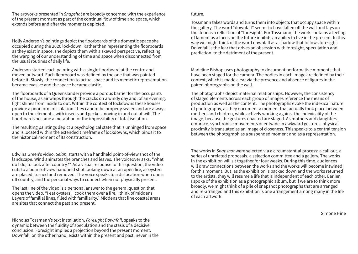The artworks presented in *Snapshot* are broadly concerned with the experience of the present moment as part of the continual flow of time and space, which extends before and after the moments depicted.

Holly Anderson's paintings depict the floorboards of the domestic space she occupied during the 2020 lockdown. Rather than representing the floorboards as they exist in space, she depicts them with a skewed perspective, reflecting the warping of our understanding of time and space when disconnected from the usual routines of daily life.

Anderson started each painting with a single floorboard at the centre and moved outward. Each floorboard was defined by the one that was painted before it. Slowly, the connection to actual space and its memetic representation became evasive and the space became elastic.

The floorboards of a Queenslander provide a porous barrier for the occupants of the house, as air whips through the cracks on a windy day and, of an evening, light shines from inside to out. Within the context of lockdowns these houses provide a poor form of isolation, they cannot be properly sealed and are always open to the elements, with insects and geckos moving in and out at will. The floorboards became a metaphor for the impossibility of total isolation.

The resulting paintings depict a psychological state that is unhinged from space and is located within the extended timeframe of lockdowns, which binds it to the historical moment of its construction.

Edwina Green's video, *Selah*, starts with a handheld point-of-view shot of the landscape. Wind animates the branches and leaves. The voiceover asks, "what do I do, to look after country?". As a visual response to this question, the video cuts to a point-of-view handheld shot looking down at an open fire, as oysters are placed, turned and removed. The voice speaks to a dislocation when one is off country, and the personal ways to connect when not physically present.

The last line of the video is a personal answer to the general question that opens the video. "I eat oysters, I cook them over a fire, I think of middens. Layers of familial lines, filled with familiarity." Middens that line coastal areas are sites that connect the past and present.

Nicholas Tossmann's text installation, *Foresight Downfall*, speaks to the dynamic between the fluidity of speculation and the stasis of a decisive conclusion. Foresight implies a projection beyond the present moment. Downfall, on the other hand, exists within the present and past, never in the

#### future.

Tossmann takes words and turns them into objects that occupy space within the gallery. The word "downfall" seems to have fallen off the wall and lays on the floor as a reflection of "foresight". For Tossmann, the work contains a feeling of lament as a focus on the future inhibits an ability to live in the present. In this way we might think of the word downfall as a shadow that follows foresight. Downfall is the fear that drives an obsession with foresight, speculation and prediction, to the detriment of the present.

Madeline Bishop uses photography to document performative moments that have been staged for the camera. The bodies in each image are defined by their context, which is made clear via the presence and absence of figures in the paired photographs on the wall.

The photographs depict maternal relationships. However, the consistency of staged elements across each group of images reference the means of production as well as the content. The photographs evoke the indexical nature of photography, as they document a moment that actually took place between mothers and children, while actively working against the indexicality of the image, because the gestures enacted are staged. As mothers and daughters embrace, synchronise movements or entwine in awkward gestures, physical proximity is translated as an image of closeness. This speaks to a central tension between the photograph as a suspended moment and as a representation.

The works in *Snapshot* were selected via a circumstantial process: a call out, a series of unrelated proposals, a selection committee and a gallery. The works in the exhibition will sit together for four weeks. During this time, audiences will draw connections between the works and the works will become intwined for this moment. But, as the exhibition is packed down and the works returned to the artists, they will resume a life that is independent of each other. Earlier, I spoke of the exhibition as a photographic album, but if we are to think more broadly, we might think of a pile of snapshot photographs that are arranged and re-arranged and this exhibition is one arrangement among many in the life of each artwork.

Simone Hine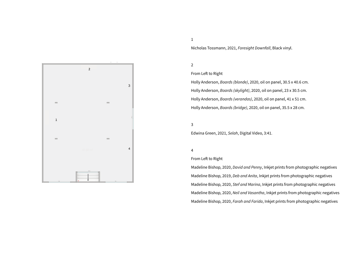

1

Nicholas Tossmann, 2021, *Foresight Downfall*, Black vinyl.

2

## From Left to Right

Holly Anderson, *Boards (blonde)*, 2020, oil on panel, 30.5 x 40.6 cm. Holly Anderson, *Boards (skylight)*, 2020, oil on panel, 23 x 30.5 cm. Holly Anderson, *Boards (verandas)*, 2020, oil on panel, 41 x 51 cm. Holly Anderson, *Boards (bridge)*, 2020, oil on panel, 35.5 x 28 cm.

3

Edwina Green, 2021, *Selah*, Digital Video, 3:41.

#### 4

### From Left to Right

Madeline Bishop, 2020, *David and Penny*, Inkjet prints from photographic negatives Madeline Bishop, 2019, *Deb and Anita*, Inkjet prints from photographic negatives Madeline Bishop, 2020, *Stef and Marina*, Inkjet prints from photographic negatives Madeline Bishop, 2020, *Neil and Vasantha*, Inkjet prints from photographic negatives Madeline Bishop, 2020, *Farah and Farida*, Inkjet prints from photographic negatives